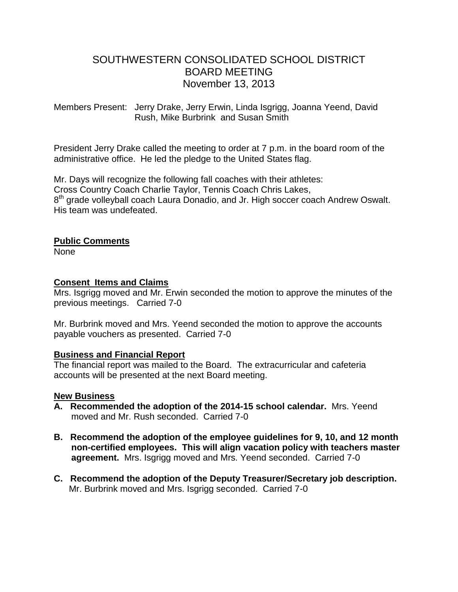# SOUTHWESTERN CONSOLIDATED SCHOOL DISTRICT BOARD MEETING November 13, 2013

Members Present: Jerry Drake, Jerry Erwin, Linda Isgrigg, Joanna Yeend, David Rush, Mike Burbrink and Susan Smith

President Jerry Drake called the meeting to order at 7 p.m. in the board room of the administrative office. He led the pledge to the United States flag.

Mr. Days will recognize the following fall coaches with their athletes: Cross Country Coach Charlie Taylor, Tennis Coach Chris Lakes, 8<sup>th</sup> grade volleyball coach Laura Donadio, and Jr. High soccer coach Andrew Oswalt. His team was undefeated.

#### **Public Comments**

None

## **Consent Items and Claims**

Mrs. Isgrigg moved and Mr. Erwin seconded the motion to approve the minutes of the previous meetings. Carried 7-0

Mr. Burbrink moved and Mrs. Yeend seconded the motion to approve the accounts payable vouchers as presented. Carried 7-0

## **Business and Financial Report**

The financial report was mailed to the Board. The extracurricular and cafeteria accounts will be presented at the next Board meeting.

#### **New Business**

- **A. Recommended the adoption of the 2014-15 school calendar.** Mrs. Yeend moved and Mr. Rush seconded. Carried 7-0
- **B. Recommend the adoption of the employee guidelines for 9, 10, and 12 month non-certified employees. This will align vacation policy with teachers master agreement.** Mrs. Isgrigg moved and Mrs. Yeend seconded. Carried 7-0
- **C. Recommend the adoption of the Deputy Treasurer/Secretary job description.** Mr. Burbrink moved and Mrs. Isgrigg seconded. Carried 7-0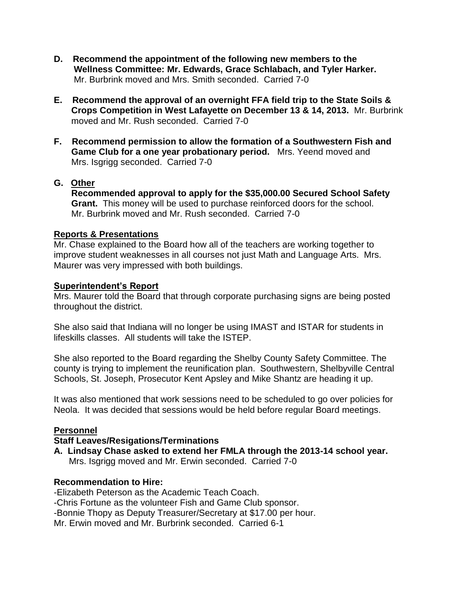- **D. Recommend the appointment of the following new members to the Wellness Committee: Mr. Edwards, Grace Schlabach, and Tyler Harker.** Mr. Burbrink moved and Mrs. Smith seconded. Carried 7-0
- **E. Recommend the approval of an overnight FFA field trip to the State Soils & Crops Competition in West Lafayette on December 13 & 14, 2013.** Mr. Burbrink moved and Mr. Rush seconded. Carried 7-0
- **F. Recommend permission to allow the formation of a Southwestern Fish and Game Club for a one year probationary period.** Mrs. Yeend moved and Mrs. Isgrigg seconded. Carried 7-0

## **G. Other**

 **Recommended approval to apply for the \$35,000.00 Secured School Safety Grant.** This money will be used to purchase reinforced doors for the school. Mr. Burbrink moved and Mr. Rush seconded. Carried 7-0

## **Reports & Presentations**

Mr. Chase explained to the Board how all of the teachers are working together to improve student weaknesses in all courses not just Math and Language Arts. Mrs. Maurer was very impressed with both buildings.

#### **Superintendent's Report**

Mrs. Maurer told the Board that through corporate purchasing signs are being posted throughout the district.

She also said that Indiana will no longer be using IMAST and ISTAR for students in lifeskills classes. All students will take the ISTEP.

She also reported to the Board regarding the Shelby County Safety Committee. The county is trying to implement the reunification plan. Southwestern, Shelbyville Central Schools, St. Joseph, Prosecutor Kent Apsley and Mike Shantz are heading it up.

It was also mentioned that work sessions need to be scheduled to go over policies for Neola. It was decided that sessions would be held before regular Board meetings.

## **Personnel**

#### **Staff Leaves/Resigations/Terminations**

**A. Lindsay Chase asked to extend her FMLA through the 2013-14 school year.** Mrs. Isgrigg moved and Mr. Erwin seconded. Carried 7-0

## **Recommendation to Hire:**

-Elizabeth Peterson as the Academic Teach Coach. -Chris Fortune as the volunteer Fish and Game Club sponsor. -Bonnie Thopy as Deputy Treasurer/Secretary at \$17.00 per hour. Mr. Erwin moved and Mr. Burbrink seconded. Carried 6-1